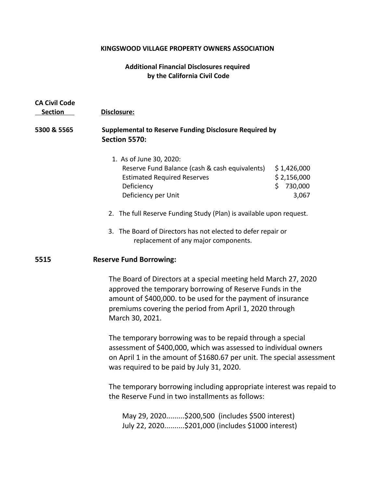# **KINGSWOOD VILLAGE PROPERTY OWNERS ASSOCIATION**

# **Additional Financial Disclosures required by the California Civil Code**

| <b>CA Civil Code</b><br><b>Section</b> | Disclosure:                                                                                                                                                                                                                                                               |                                                      |
|----------------------------------------|---------------------------------------------------------------------------------------------------------------------------------------------------------------------------------------------------------------------------------------------------------------------------|------------------------------------------------------|
| 5300 & 5565                            | <b>Supplemental to Reserve Funding Disclosure Required by</b><br><b>Section 5570:</b>                                                                                                                                                                                     |                                                      |
|                                        | 1. As of June 30, 2020:<br>Reserve Fund Balance (cash & cash equivalents)<br><b>Estimated Required Reserves</b><br>Deficiency<br>Deficiency per Unit                                                                                                                      | \$1,426,000<br>\$2,156,000<br>730,000<br>Ś.<br>3,067 |
|                                        | 2. The full Reserve Funding Study (Plan) is available upon request.                                                                                                                                                                                                       |                                                      |
|                                        | 3. The Board of Directors has not elected to defer repair or<br>replacement of any major components.                                                                                                                                                                      |                                                      |
| 5515                                   | <b>Reserve Fund Borrowing:</b>                                                                                                                                                                                                                                            |                                                      |
|                                        | The Board of Directors at a special meeting held March 27, 2020<br>approved the temporary borrowing of Reserve Funds in the<br>amount of \$400,000. to be used for the payment of insurance<br>premiums covering the period from April 1, 2020 through<br>March 30, 2021. |                                                      |
|                                        | The temporary borrowing was to be repaid through a special<br>assessment of \$400,000, which was assessed to individual owners<br>on April 1 in the amount of \$1680.67 per unit. The special assessment<br>was required to be paid by July 31, 2020.                     |                                                      |
|                                        | The temporary borrowing including appropriate interest was repaid to<br>the Reserve Fund in two installments as follows:                                                                                                                                                  |                                                      |
|                                        | May 29, 2020\$200,500 (includes \$500 interest)<br>July 22, 2020\$201,000 (includes \$1000 interest)                                                                                                                                                                      |                                                      |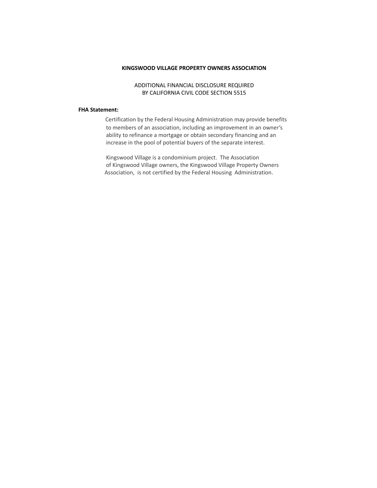#### **KINGSWOOD VILLAGE PROPERTY OWNERS ASSOCIATION**

### ADDITIONAL FINANCIAL DISCLOSURE REQUIRED BY CALIFORNIA CIVIL CODE SECTION 5515

#### **FHA Statement:**

Certification by the Federal Housing Administration may provide benefits to members of an association, including an improvement in an owner's ability to refinance a mortgage or obtain secondary financing and an increase in the pool of potential buyers of the separate interest.

 Kingswood Village is a condominium project. The Association of Kingswood Village owners, the Kingswood Village Property Owners Association, is not certified by the Federal Housing Administration.